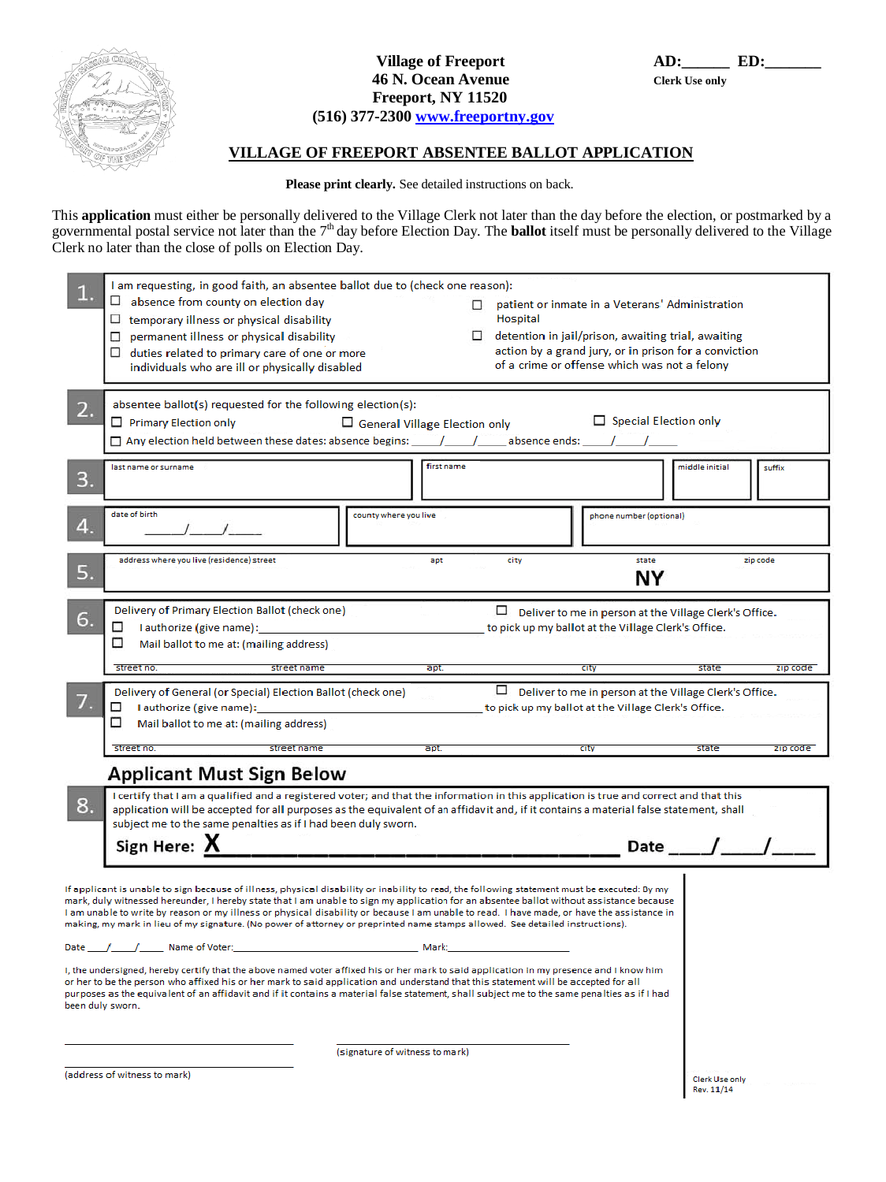

# **Village of Freeport AD: AD: ED: 46 N. Ocean Avenue Clerk Use only Freeport, NY 11520**

#### **(516) 377-2300 [www.freeportny.gov](http://www.freeportny.gov/)**

## **VILLAGE OF FREEPORT ABSENTEE BALLOT APPLICATION**

 **Please print clearly.** See detailed instructions on back.

This **application** must either be personally delivered to the Village Clerk not later than the day before the election, or postmarked by a governmental postal service not later than the 7<sup>th</sup> day before Election Day. The **ballot** itself must be personally delivered to the Village Clerk no later than the close of polls on Election Day.

|                                                                                                                                                                                                                                                                                                                                                                                                                                                                                                                                                                         | I am requesting, in good faith, an absentee ballot due to (check one reason):<br>$\Box$<br>absence from county on election day<br>patient or inmate in a Veterans' Administration<br>Hospital<br>$\Box$<br>temporary illness or physical disability<br>permanent illness or physical disability<br>$\Box$ detention in jail/prison, awaiting trial, awaiting<br>□.<br>action by a grand jury, or in prison for a conviction<br>duties related to primary care of one or more<br>of a crime or offense which was not a felony |                              |
|-------------------------------------------------------------------------------------------------------------------------------------------------------------------------------------------------------------------------------------------------------------------------------------------------------------------------------------------------------------------------------------------------------------------------------------------------------------------------------------------------------------------------------------------------------------------------|------------------------------------------------------------------------------------------------------------------------------------------------------------------------------------------------------------------------------------------------------------------------------------------------------------------------------------------------------------------------------------------------------------------------------------------------------------------------------------------------------------------------------|------------------------------|
| 2.                                                                                                                                                                                                                                                                                                                                                                                                                                                                                                                                                                      | individuals who are ill or physically disabled<br>absentee ballot(s) requested for the following election(s):<br>$\Box$ Special Election only<br>Primary Election only<br>General Village Election only<br>$\square$ Any election held between these dates: absence begins: _____/_____/_____absence ends: _____/_____/_                                                                                                                                                                                                     |                              |
| 3.                                                                                                                                                                                                                                                                                                                                                                                                                                                                                                                                                                      | first name<br>last name or surname                                                                                                                                                                                                                                                                                                                                                                                                                                                                                           | middle initial<br>suffix     |
|                                                                                                                                                                                                                                                                                                                                                                                                                                                                                                                                                                         | date of birth<br>county where you live<br>phone number (optional)                                                                                                                                                                                                                                                                                                                                                                                                                                                            |                              |
| 5.                                                                                                                                                                                                                                                                                                                                                                                                                                                                                                                                                                      | address where you live (residence) street<br>city<br>state<br>apt<br>zip code<br>NΥ                                                                                                                                                                                                                                                                                                                                                                                                                                          |                              |
| 6.                                                                                                                                                                                                                                                                                                                                                                                                                                                                                                                                                                      | Delivery of Primary Election Ballot (check one)<br>□<br>Deliver to me in person at the Village Clerk's Office.<br>I authorize (give name):<br>to pick up my ballot at the Village Clerk's Office.<br>□<br>□<br>Mail ballot to me at: (mailing address)<br>street no.<br>street name<br>apt.<br><b>CITY</b>                                                                                                                                                                                                                   | state<br>zip code            |
|                                                                                                                                                                                                                                                                                                                                                                                                                                                                                                                                                                         | □<br>Deliver to me in person at the Village Clerk's Office.<br>Delivery of General (or Special) Election Ballot (check one)<br>I authorize (give name):<br>□<br>to pick up my ballot at the Village Clerk's Office.<br>□<br>Mail ballot to me at: (mailing address)                                                                                                                                                                                                                                                          |                              |
|                                                                                                                                                                                                                                                                                                                                                                                                                                                                                                                                                                         | street name<br>apt.<br>street no.<br><b>CITY</b><br>Applicant Must Sign Below                                                                                                                                                                                                                                                                                                                                                                                                                                                | state<br>zip code            |
| I certify that I am a qualified and a registered voter; and that the information in this application is true and correct and that this<br>8.<br>application will be accepted for all purposes as the equivalent of an affidavit and, if it contains a material false statement, shall<br>subject me to the same penalties as if I had been duly sworn.<br>Sign Here: X                                                                                                                                                                                                  |                                                                                                                                                                                                                                                                                                                                                                                                                                                                                                                              |                              |
| If applicant is unable to sign because of illness, physical disability or inability to read, the following statement must be executed: By my<br>mark, duly witnessed hereunder, I hereby state that I am unable to sign my application for an absentee ballot without assistance because<br>I am unable to write by reason or my illness or physical disability or because I am unable to read. I have made, or have the assistance in<br>making, my mark in lieu of my signature. (No power of attorney or preprinted name stamps allowed. See detailed instructions). |                                                                                                                                                                                                                                                                                                                                                                                                                                                                                                                              |                              |
| I, the undersigned, hereby certify that the above named voter affixed his or her mark to said application in my presence and I know him<br>or her to be the person who affixed his or her mark to said application and understand that this statement will be accepted for all<br>purposes as the equivalent of an affidavit and if it contains a material false statement, shall subject me to the same penalties as if I had<br>been duly sworn.                                                                                                                      |                                                                                                                                                                                                                                                                                                                                                                                                                                                                                                                              |                              |
|                                                                                                                                                                                                                                                                                                                                                                                                                                                                                                                                                                         | (signature of witness to mark)                                                                                                                                                                                                                                                                                                                                                                                                                                                                                               |                              |
|                                                                                                                                                                                                                                                                                                                                                                                                                                                                                                                                                                         | (address of witness to mark)                                                                                                                                                                                                                                                                                                                                                                                                                                                                                                 | Clerk Use only<br>Rev. 11/14 |